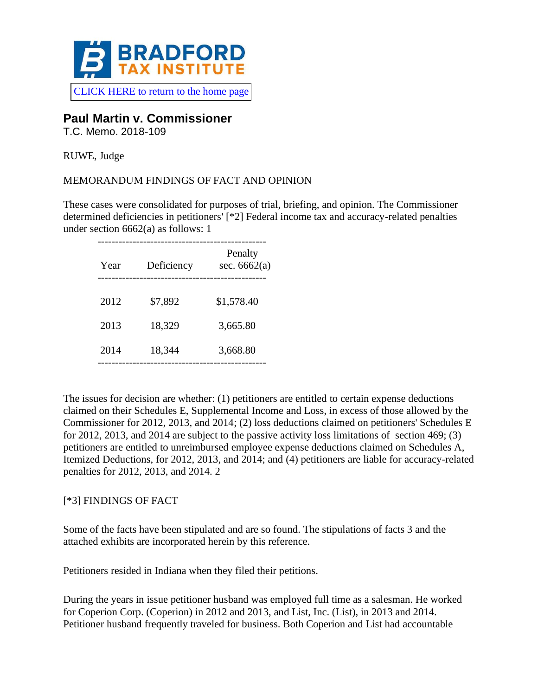

# **Paul Martin v. Commissioner**

T.C. Memo. 2018-109

RUWE, Judge

### MEMORANDUM FINDINGS OF FACT AND OPINION

These cases were consolidated for purposes of trial, briefing, and opinion. The Commissioner determined deficiencies in petitioners' [\*2] Federal income tax and accuracy-related penalties under section 6662(a) as follows: 1

| Year | Deficiency | Penalty<br>sec. $6662(a)$ |
|------|------------|---------------------------|
| 2012 | \$7,892    | \$1,578.40                |
| 2013 | 18,329     | 3,665.80                  |
| 2014 | 18,344     | 3,668.80                  |
|      |            |                           |

The issues for decision are whether: (1) petitioners are entitled to certain expense deductions claimed on their Schedules E, Supplemental Income and Loss, in excess of those allowed by the Commissioner for 2012, 2013, and 2014; (2) loss deductions claimed on petitioners' Schedules E for 2012, 2013, and 2014 are subject to the passive activity loss limitations of section 469; (3) petitioners are entitled to unreimbursed employee expense deductions claimed on Schedules A, Itemized Deductions, for 2012, 2013, and 2014; and (4) petitioners are liable for accuracy-related penalties for 2012, 2013, and 2014. 2

# [\*3] FINDINGS OF FACT

Some of the facts have been stipulated and are so found. The stipulations of facts 3 and the attached exhibits are incorporated herein by this reference.

Petitioners resided in Indiana when they filed their petitions.

During the years in issue petitioner husband was employed full time as a salesman. He worked for Coperion Corp. (Coperion) in 2012 and 2013, and List, Inc. (List), in 2013 and 2014. Petitioner husband frequently traveled for business. Both Coperion and List had accountable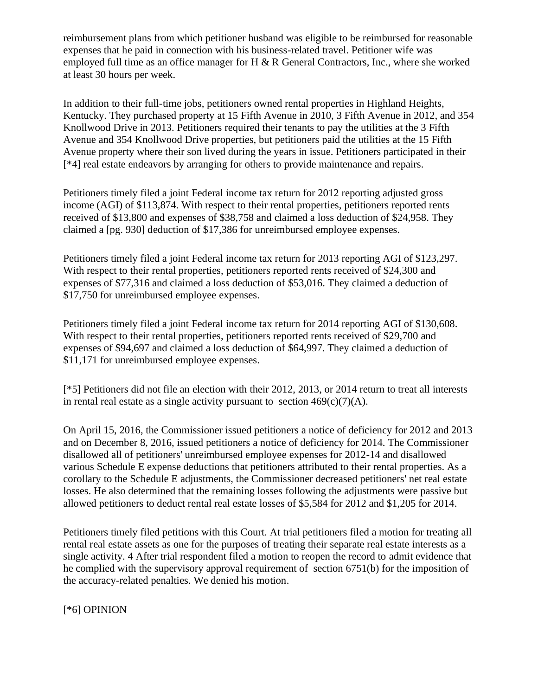reimbursement plans from which petitioner husband was eligible to be reimbursed for reasonable expenses that he paid in connection with his business-related travel. Petitioner wife was employed full time as an office manager for H  $\&$  R General Contractors, Inc., where she worked at least 30 hours per week.

In addition to their full-time jobs, petitioners owned rental properties in Highland Heights, Kentucky. They purchased property at 15 Fifth Avenue in 2010, 3 Fifth Avenue in 2012, and 354 Knollwood Drive in 2013. Petitioners required their tenants to pay the utilities at the 3 Fifth Avenue and 354 Knollwood Drive properties, but petitioners paid the utilities at the 15 Fifth Avenue property where their son lived during the years in issue. Petitioners participated in their [\*4] real estate endeavors by arranging for others to provide maintenance and repairs.

Petitioners timely filed a joint Federal income tax return for 2012 reporting adjusted gross income (AGI) of \$113,874. With respect to their rental properties, petitioners reported rents received of \$13,800 and expenses of \$38,758 and claimed a loss deduction of \$24,958. They claimed a [pg. 930] deduction of \$17,386 for unreimbursed employee expenses.

Petitioners timely filed a joint Federal income tax return for 2013 reporting AGI of \$123,297. With respect to their rental properties, petitioners reported rents received of \$24,300 and expenses of \$77,316 and claimed a loss deduction of \$53,016. They claimed a deduction of \$17,750 for unreimbursed employee expenses.

Petitioners timely filed a joint Federal income tax return for 2014 reporting AGI of \$130,608. With respect to their rental properties, petitioners reported rents received of \$29,700 and expenses of \$94,697 and claimed a loss deduction of \$64,997. They claimed a deduction of \$11,171 for unreimbursed employee expenses.

[\*5] Petitioners did not file an election with their 2012, 2013, or 2014 return to treat all interests in rental real estate as a single activity pursuant to section  $469(c)(7)(A)$ .

On April 15, 2016, the Commissioner issued petitioners a notice of deficiency for 2012 and 2013 and on December 8, 2016, issued petitioners a notice of deficiency for 2014. The Commissioner disallowed all of petitioners' unreimbursed employee expenses for 2012-14 and disallowed various Schedule E expense deductions that petitioners attributed to their rental properties. As a corollary to the Schedule E adjustments, the Commissioner decreased petitioners' net real estate losses. He also determined that the remaining losses following the adjustments were passive but allowed petitioners to deduct rental real estate losses of \$5,584 for 2012 and \$1,205 for 2014.

Petitioners timely filed petitions with this Court. At trial petitioners filed a motion for treating all rental real estate assets as one for the purposes of treating their separate real estate interests as a single activity. 4 After trial respondent filed a motion to reopen the record to admit evidence that he complied with the supervisory approval requirement of section 6751(b) for the imposition of the accuracy-related penalties. We denied his motion.

[\*6] OPINION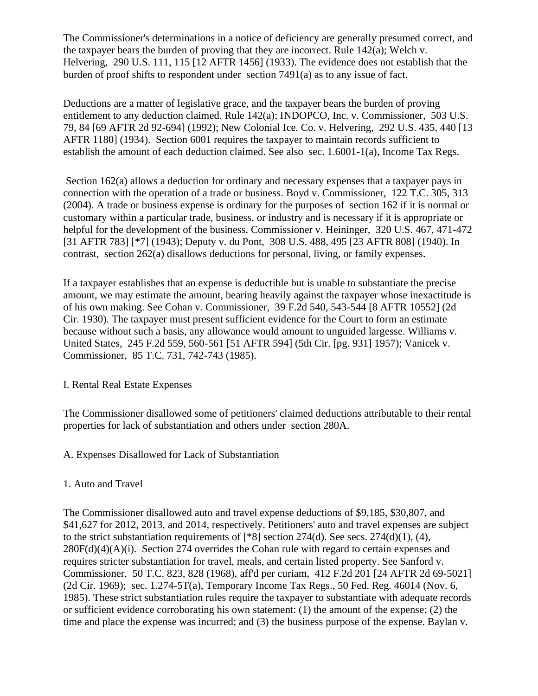The Commissioner's determinations in a notice of deficiency are generally presumed correct, and the taxpayer bears the burden of proving that they are incorrect. Rule 142(a); Welch v. Helvering, 290 U.S. 111, 115 [12 AFTR 1456] (1933). The evidence does not establish that the burden of proof shifts to respondent under section 7491(a) as to any issue of fact.

Deductions are a matter of legislative grace, and the taxpayer bears the burden of proving entitlement to any deduction claimed. Rule 142(a); INDOPCO, Inc. v. Commissioner, 503 U.S. 79, 84 [69 AFTR 2d 92-694] (1992); New Colonial Ice. Co. v. Helvering, 292 U.S. 435, 440 [13 AFTR 1180] (1934). Section 6001 requires the taxpayer to maintain records sufficient to establish the amount of each deduction claimed. See also sec. 1.6001-1(a), Income Tax Regs.

Section 162(a) allows a deduction for ordinary and necessary expenses that a taxpayer pays in connection with the operation of a trade or business. Boyd v. Commissioner, 122 T.C. 305, 313 (2004). A trade or business expense is ordinary for the purposes of section 162 if it is normal or customary within a particular trade, business, or industry and is necessary if it is appropriate or helpful for the development of the business. Commissioner v. Heininger, 320 U.S. 467, 471-472 [31 AFTR 783] [\*7] (1943); Deputy v. du Pont, 308 U.S. 488, 495 [23 AFTR 808] (1940). In contrast, section 262(a) disallows deductions for personal, living, or family expenses.

If a taxpayer establishes that an expense is deductible but is unable to substantiate the precise amount, we may estimate the amount, bearing heavily against the taxpayer whose inexactitude is of his own making. See Cohan v. Commissioner, 39 F.2d 540, 543-544 [8 AFTR 10552] (2d Cir. 1930). The taxpayer must present sufficient evidence for the Court to form an estimate because without such a basis, any allowance would amount to unguided largesse. Williams v. United States, 245 F.2d 559, 560-561 [51 AFTR 594] (5th Cir. [pg. 931] 1957); Vanicek v. Commissioner, 85 T.C. 731, 742-743 (1985).

#### I. Rental Real Estate Expenses

The Commissioner disallowed some of petitioners' claimed deductions attributable to their rental properties for lack of substantiation and others under section 280A.

# A. Expenses Disallowed for Lack of Substantiation

#### 1. Auto and Travel

The Commissioner disallowed auto and travel expense deductions of \$9,185, \$30,807, and \$41,627 for 2012, 2013, and 2014, respectively. Petitioners' auto and travel expenses are subject to the strict substantiation requirements of  $[^*8]$  section 274(d). See secs. 274(d)(1), (4),  $280F(d)(4)(A)(i)$ . Section 274 overrides the Cohan rule with regard to certain expenses and requires stricter substantiation for travel, meals, and certain listed property. See Sanford v. Commissioner, 50 T.C. 823, 828 (1968), aff'd per curiam, 412 F.2d 201 [24 AFTR 2d 69-5021] (2d Cir. 1969); sec. 1.274-5T(a), Temporary Income Tax Regs., 50 Fed. Reg. 46014 (Nov. 6, 1985). These strict substantiation rules require the taxpayer to substantiate with adequate records or sufficient evidence corroborating his own statement: (1) the amount of the expense; (2) the time and place the expense was incurred; and (3) the business purpose of the expense. Baylan v.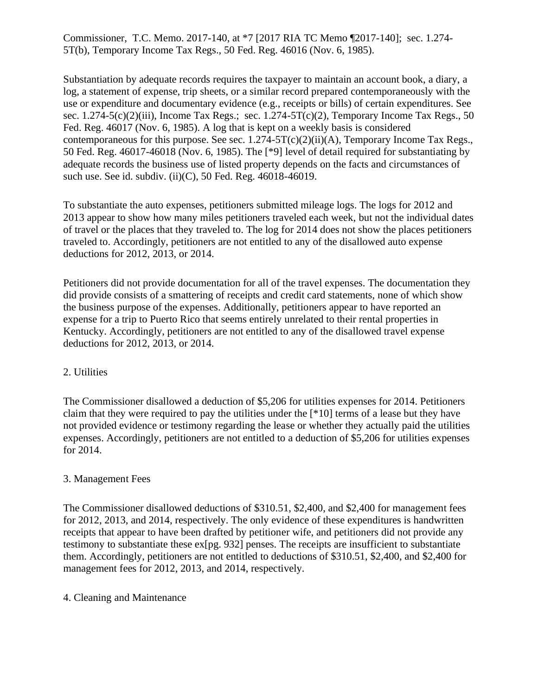Commissioner, T.C. Memo. 2017-140, at \*7 [2017 RIA TC Memo ¶2017-140]; sec. 1.274- 5T(b), Temporary Income Tax Regs., 50 Fed. Reg. 46016 (Nov. 6, 1985).

Substantiation by adequate records requires the taxpayer to maintain an account book, a diary, a log, a statement of expense, trip sheets, or a similar record prepared contemporaneously with the use or expenditure and documentary evidence (e.g., receipts or bills) of certain expenditures. See sec.  $1.274-5(c)(2)(iii)$ , Income Tax Regs.; sec.  $1.274-5T(c)(2)$ , Temporary Income Tax Regs., 50 Fed. Reg. 46017 (Nov. 6, 1985). A log that is kept on a weekly basis is considered contemporaneous for this purpose. See sec.  $1.274 - 5T(c)(2)(ii)(A)$ , Temporary Income Tax Regs., 50 Fed. Reg. 46017-46018 (Nov. 6, 1985). The [\*9] level of detail required for substantiating by adequate records the business use of listed property depends on the facts and circumstances of such use. See id. subdiv. (ii)(C), 50 Fed. Reg. 46018-46019.

To substantiate the auto expenses, petitioners submitted mileage logs. The logs for 2012 and 2013 appear to show how many miles petitioners traveled each week, but not the individual dates of travel or the places that they traveled to. The log for 2014 does not show the places petitioners traveled to. Accordingly, petitioners are not entitled to any of the disallowed auto expense deductions for 2012, 2013, or 2014.

Petitioners did not provide documentation for all of the travel expenses. The documentation they did provide consists of a smattering of receipts and credit card statements, none of which show the business purpose of the expenses. Additionally, petitioners appear to have reported an expense for a trip to Puerto Rico that seems entirely unrelated to their rental properties in Kentucky. Accordingly, petitioners are not entitled to any of the disallowed travel expense deductions for 2012, 2013, or 2014.

#### 2. Utilities

The Commissioner disallowed a deduction of \$5,206 for utilities expenses for 2014. Petitioners claim that they were required to pay the utilities under the [\*10] terms of a lease but they have not provided evidence or testimony regarding the lease or whether they actually paid the utilities expenses. Accordingly, petitioners are not entitled to a deduction of \$5,206 for utilities expenses for 2014.

#### 3. Management Fees

The Commissioner disallowed deductions of \$310.51, \$2,400, and \$2,400 for management fees for 2012, 2013, and 2014, respectively. The only evidence of these expenditures is handwritten receipts that appear to have been drafted by petitioner wife, and petitioners did not provide any testimony to substantiate these ex[pg. 932] penses. The receipts are insufficient to substantiate them. Accordingly, petitioners are not entitled to deductions of \$310.51, \$2,400, and \$2,400 for management fees for 2012, 2013, and 2014, respectively.

#### 4. Cleaning and Maintenance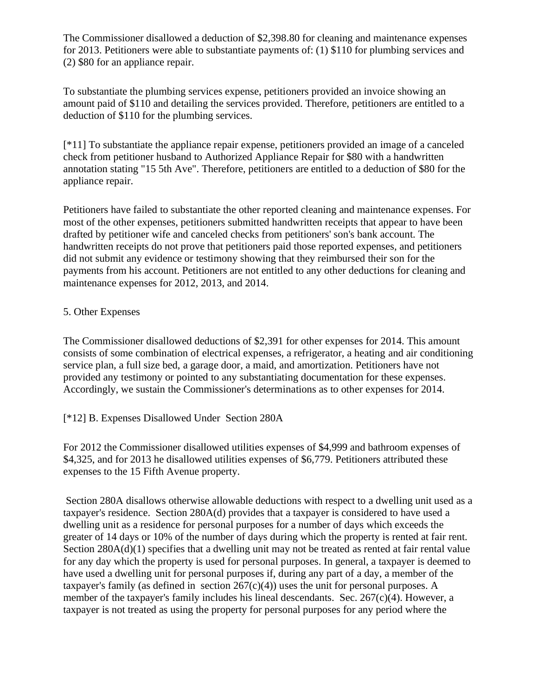The Commissioner disallowed a deduction of \$2,398.80 for cleaning and maintenance expenses for 2013. Petitioners were able to substantiate payments of: (1) \$110 for plumbing services and (2) \$80 for an appliance repair.

To substantiate the plumbing services expense, petitioners provided an invoice showing an amount paid of \$110 and detailing the services provided. Therefore, petitioners are entitled to a deduction of \$110 for the plumbing services.

[\*11] To substantiate the appliance repair expense, petitioners provided an image of a canceled check from petitioner husband to Authorized Appliance Repair for \$80 with a handwritten annotation stating "15 5th Ave". Therefore, petitioners are entitled to a deduction of \$80 for the appliance repair.

Petitioners have failed to substantiate the other reported cleaning and maintenance expenses. For most of the other expenses, petitioners submitted handwritten receipts that appear to have been drafted by petitioner wife and canceled checks from petitioners' son's bank account. The handwritten receipts do not prove that petitioners paid those reported expenses, and petitioners did not submit any evidence or testimony showing that they reimbursed their son for the payments from his account. Petitioners are not entitled to any other deductions for cleaning and maintenance expenses for 2012, 2013, and 2014.

### 5. Other Expenses

The Commissioner disallowed deductions of \$2,391 for other expenses for 2014. This amount consists of some combination of electrical expenses, a refrigerator, a heating and air conditioning service plan, a full size bed, a garage door, a maid, and amortization. Petitioners have not provided any testimony or pointed to any substantiating documentation for these expenses. Accordingly, we sustain the Commissioner's determinations as to other expenses for 2014.

# [\*12] B. Expenses Disallowed Under Section 280A

For 2012 the Commissioner disallowed utilities expenses of \$4,999 and bathroom expenses of \$4,325, and for 2013 he disallowed utilities expenses of \$6,779. Petitioners attributed these expenses to the 15 Fifth Avenue property.

Section 280A disallows otherwise allowable deductions with respect to a dwelling unit used as a taxpayer's residence. Section 280A(d) provides that a taxpayer is considered to have used a dwelling unit as a residence for personal purposes for a number of days which exceeds the greater of 14 days or 10% of the number of days during which the property is rented at fair rent. Section 280A(d)(1) specifies that a dwelling unit may not be treated as rented at fair rental value for any day which the property is used for personal purposes. In general, a taxpayer is deemed to have used a dwelling unit for personal purposes if, during any part of a day, a member of the taxpayer's family (as defined in section  $267(c)(4)$ ) uses the unit for personal purposes. A member of the taxpayer's family includes his lineal descendants. Sec.  $267(c)(4)$ . However, a taxpayer is not treated as using the property for personal purposes for any period where the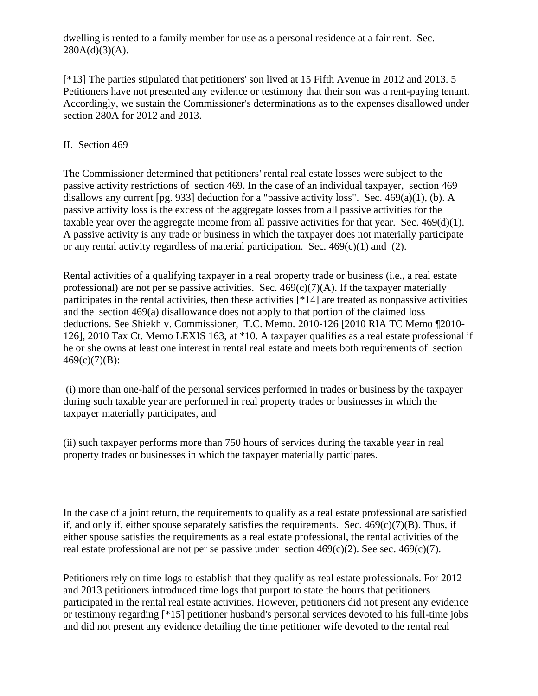dwelling is rented to a family member for use as a personal residence at a fair rent. Sec.  $280A(d)(3)(A)$ .

[\*13] The parties stipulated that petitioners' son lived at 15 Fifth Avenue in 2012 and 2013. 5 Petitioners have not presented any evidence or testimony that their son was a rent-paying tenant. Accordingly, we sustain the Commissioner's determinations as to the expenses disallowed under section 280A for 2012 and 2013.

# II. Section 469

The Commissioner determined that petitioners' rental real estate losses were subject to the passive activity restrictions of section 469. In the case of an individual taxpayer, section 469 disallows any current [pg. 933] deduction for a "passive activity loss". Sec.  $469(a)(1)$ , (b). A passive activity loss is the excess of the aggregate losses from all passive activities for the taxable year over the aggregate income from all passive activities for that year. Sec. 469(d)(1). A passive activity is any trade or business in which the taxpayer does not materially participate or any rental activity regardless of material participation. Sec.  $469(c)(1)$  and (2).

Rental activities of a qualifying taxpayer in a real property trade or business (i.e., a real estate professional) are not per se passive activities. Sec.  $469(c)(7)(A)$ . If the taxpayer materially participates in the rental activities, then these activities [\*14] are treated as nonpassive activities and the section 469(a) disallowance does not apply to that portion of the claimed loss deductions. See Shiekh v. Commissioner, T.C. Memo. 2010-126 [2010 RIA TC Memo ¶2010- 126], 2010 Tax Ct. Memo LEXIS 163, at \*10. A taxpayer qualifies as a real estate professional if he or she owns at least one interest in rental real estate and meets both requirements of section  $469(c)(7)(B)$ :

(i) more than one-half of the personal services performed in trades or business by the taxpayer during such taxable year are performed in real property trades or businesses in which the taxpayer materially participates, and

(ii) such taxpayer performs more than 750 hours of services during the taxable year in real property trades or businesses in which the taxpayer materially participates.

In the case of a joint return, the requirements to qualify as a real estate professional are satisfied if, and only if, either spouse separately satisfies the requirements. Sec.  $469(c)(7)(B)$ . Thus, if either spouse satisfies the requirements as a real estate professional, the rental activities of the real estate professional are not per se passive under section  $469(c)(2)$ . See sec.  $469(c)(7)$ .

Petitioners rely on time logs to establish that they qualify as real estate professionals. For 2012 and 2013 petitioners introduced time logs that purport to state the hours that petitioners participated in the rental real estate activities. However, petitioners did not present any evidence or testimony regarding [\*15] petitioner husband's personal services devoted to his full-time jobs and did not present any evidence detailing the time petitioner wife devoted to the rental real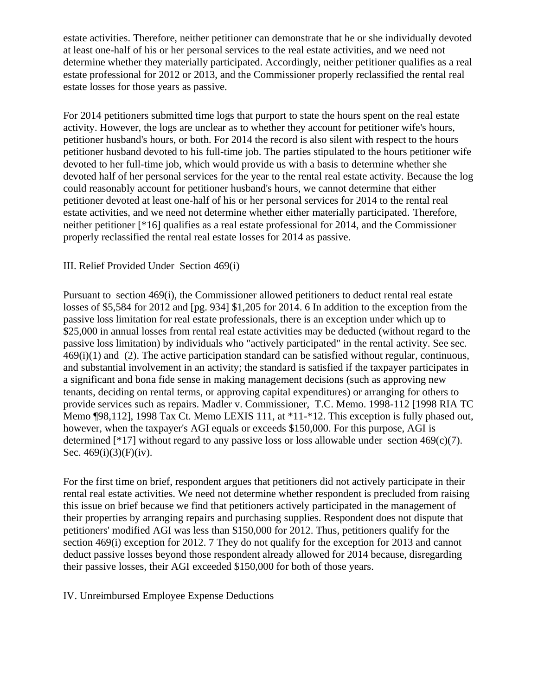estate activities. Therefore, neither petitioner can demonstrate that he or she individually devoted at least one-half of his or her personal services to the real estate activities, and we need not determine whether they materially participated. Accordingly, neither petitioner qualifies as a real estate professional for 2012 or 2013, and the Commissioner properly reclassified the rental real estate losses for those years as passive.

For 2014 petitioners submitted time logs that purport to state the hours spent on the real estate activity. However, the logs are unclear as to whether they account for petitioner wife's hours, petitioner husband's hours, or both. For 2014 the record is also silent with respect to the hours petitioner husband devoted to his full-time job. The parties stipulated to the hours petitioner wife devoted to her full-time job, which would provide us with a basis to determine whether she devoted half of her personal services for the year to the rental real estate activity. Because the log could reasonably account for petitioner husband's hours, we cannot determine that either petitioner devoted at least one-half of his or her personal services for 2014 to the rental real estate activities, and we need not determine whether either materially participated. Therefore, neither petitioner [\*16] qualifies as a real estate professional for 2014, and the Commissioner properly reclassified the rental real estate losses for 2014 as passive.

### III. Relief Provided Under Section 469(i)

Pursuant to section 469(i), the Commissioner allowed petitioners to deduct rental real estate losses of \$5,584 for 2012 and [pg. 934] \$1,205 for 2014. 6 In addition to the exception from the passive loss limitation for real estate professionals, there is an exception under which up to \$25,000 in annual losses from rental real estate activities may be deducted (without regard to the passive loss limitation) by individuals who "actively participated" in the rental activity. See sec. 469(i)(1) and (2). The active participation standard can be satisfied without regular, continuous, and substantial involvement in an activity; the standard is satisfied if the taxpayer participates in a significant and bona fide sense in making management decisions (such as approving new tenants, deciding on rental terms, or approving capital expenditures) or arranging for others to provide services such as repairs. Madler v. Commissioner, T.C. Memo. 1998-112 [1998 RIA TC Memo ¶98,112], 1998 Tax Ct. Memo LEXIS 111, at \*11-\*12. This exception is fully phased out, however, when the taxpayer's AGI equals or exceeds \$150,000. For this purpose, AGI is determined [\*17] without regard to any passive loss or loss allowable under section  $469(c)(7)$ . Sec. 469(i)(3)(F)(iv).

For the first time on brief, respondent argues that petitioners did not actively participate in their rental real estate activities. We need not determine whether respondent is precluded from raising this issue on brief because we find that petitioners actively participated in the management of their properties by arranging repairs and purchasing supplies. Respondent does not dispute that petitioners' modified AGI was less than \$150,000 for 2012. Thus, petitioners qualify for the section 469(i) exception for 2012. 7 They do not qualify for the exception for 2013 and cannot deduct passive losses beyond those respondent already allowed for 2014 because, disregarding their passive losses, their AGI exceeded \$150,000 for both of those years.

#### IV. Unreimbursed Employee Expense Deductions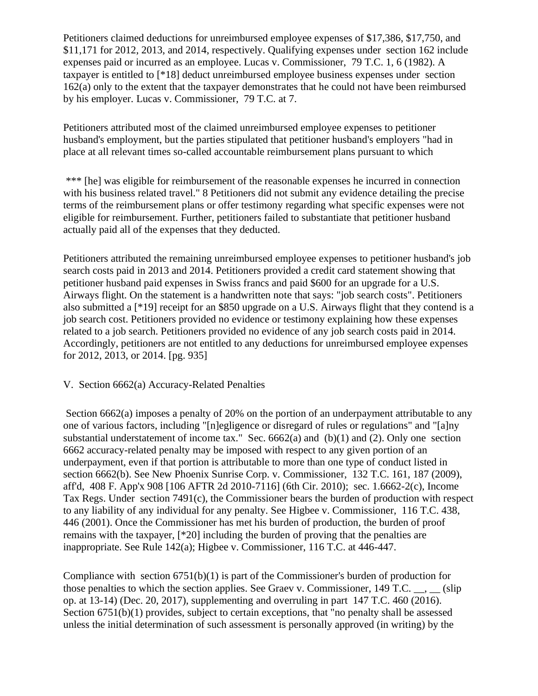Petitioners claimed deductions for unreimbursed employee expenses of \$17,386, \$17,750, and \$11,171 for 2012, 2013, and 2014, respectively. Qualifying expenses under section 162 include expenses paid or incurred as an employee. Lucas v. Commissioner, 79 T.C. 1, 6 (1982). A taxpayer is entitled to [\*18] deduct unreimbursed employee business expenses under section 162(a) only to the extent that the taxpayer demonstrates that he could not have been reimbursed by his employer. Lucas v. Commissioner, 79 T.C. at 7.

Petitioners attributed most of the claimed unreimbursed employee expenses to petitioner husband's employment, but the parties stipulated that petitioner husband's employers "had in place at all relevant times so-called accountable reimbursement plans pursuant to which

\*\*\* [he] was eligible for reimbursement of the reasonable expenses he incurred in connection with his business related travel." 8 Petitioners did not submit any evidence detailing the precise terms of the reimbursement plans or offer testimony regarding what specific expenses were not eligible for reimbursement. Further, petitioners failed to substantiate that petitioner husband actually paid all of the expenses that they deducted.

Petitioners attributed the remaining unreimbursed employee expenses to petitioner husband's job search costs paid in 2013 and 2014. Petitioners provided a credit card statement showing that petitioner husband paid expenses in Swiss francs and paid \$600 for an upgrade for a U.S. Airways flight. On the statement is a handwritten note that says: "job search costs". Petitioners also submitted a [\*19] receipt for an \$850 upgrade on a U.S. Airways flight that they contend is a job search cost. Petitioners provided no evidence or testimony explaining how these expenses related to a job search. Petitioners provided no evidence of any job search costs paid in 2014. Accordingly, petitioners are not entitled to any deductions for unreimbursed employee expenses for 2012, 2013, or 2014. [pg. 935]

#### V. Section 6662(a) Accuracy-Related Penalties

Section 6662(a) imposes a penalty of 20% on the portion of an underpayment attributable to any one of various factors, including "[n]egligence or disregard of rules or regulations" and "[a]ny substantial understatement of income tax." Sec.  $6662(a)$  and  $(b)(1)$  and  $(2)$ . Only one section 6662 accuracy-related penalty may be imposed with respect to any given portion of an underpayment, even if that portion is attributable to more than one type of conduct listed in section 6662(b). See New Phoenix Sunrise Corp. v. Commissioner, 132 T.C. 161, 187 (2009), aff'd, 408 F. App'x 908 [106 AFTR 2d 2010-7116] (6th Cir. 2010); sec. 1.6662-2(c), Income Tax Regs. Under section 7491(c), the Commissioner bears the burden of production with respect to any liability of any individual for any penalty. See Higbee v. Commissioner, 116 T.C. 438, 446 (2001). Once the Commissioner has met his burden of production, the burden of proof remains with the taxpayer, [\*20] including the burden of proving that the penalties are inappropriate. See Rule 142(a); Higbee v. Commissioner, 116 T.C. at 446-447.

Compliance with section  $6751(b)(1)$  is part of the Commissioner's burden of production for those penalties to which the section applies. See Graev v. Commissioner, 149 T.C.  $\ldots$ ,  $\ldots$  (slip) op. at 13-14) (Dec. 20, 2017), supplementing and overruling in part 147 T.C. 460 (2016). Section 6751(b)(1) provides, subject to certain exceptions, that "no penalty shall be assessed unless the initial determination of such assessment is personally approved (in writing) by the